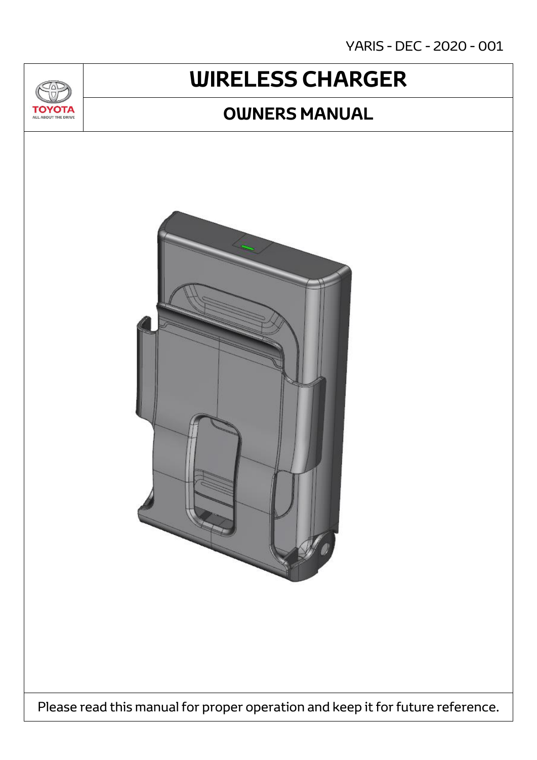YARIS - DEC - 2020 - 001

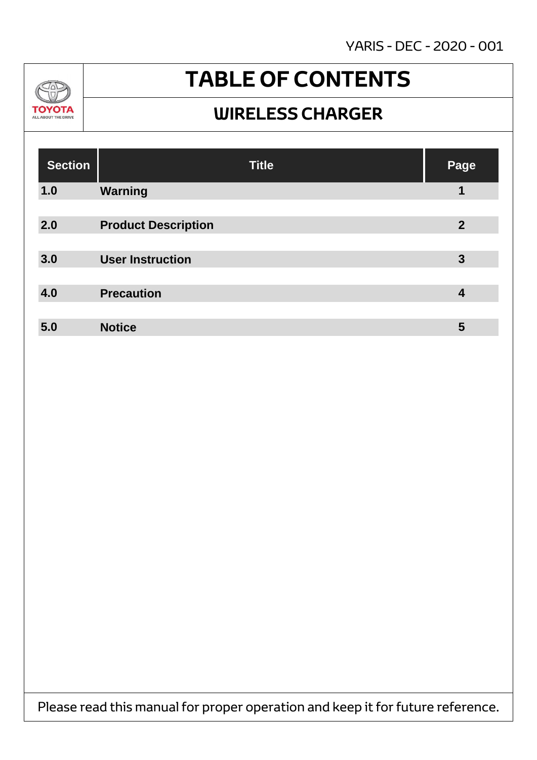YARIS - DEC - 2020 - 001



### **TABLE OF CONTENTS**

#### **WIRELESS CHARGER**

| <b>Section</b> | <b>Title</b>               | Page           |
|----------------|----------------------------|----------------|
| 1.0            | <b>Warning</b>             | 1              |
|                |                            |                |
| 2.0            | <b>Product Description</b> | $\overline{2}$ |
|                |                            |                |
| 3.0            | <b>User Instruction</b>    | $\mathbf{3}$   |
|                |                            |                |
| 4.0            | <b>Precaution</b>          | 4              |
|                |                            |                |
| 5.0            | <b>Notice</b>              | 5              |

Please read this manual for proper operation and keep it for future reference.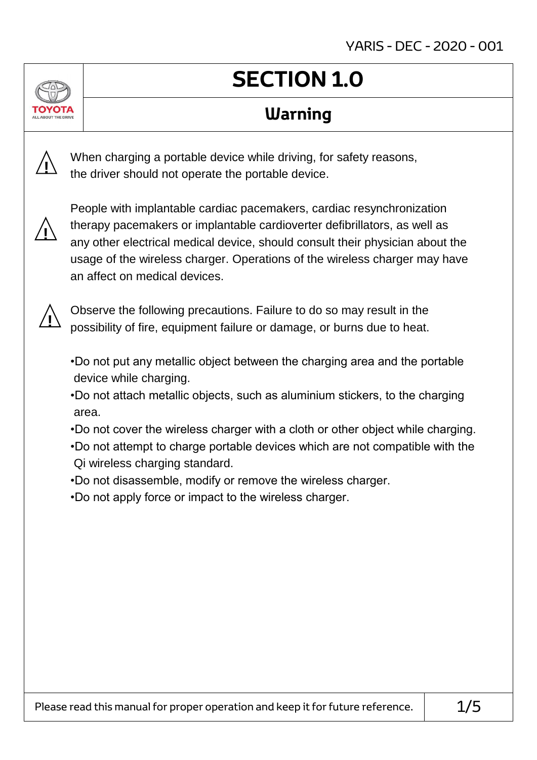### **SECTION 1.0**

#### **Warning**

When charging a portable device while driving, for safety reasons, the driver should not operate the portable device.



**!**

People with implantable cardiac pacemakers, cardiac resynchronization therapy pacemakers or implantable cardioverter defibrillators, as well as any other electrical medical device, should consult their physician about the usage of the wireless charger. Operations of the wireless charger may have an affect on medical devices.



Observe the following precautions. Failure to do so may result in the possibility of fire, equipment failure or damage, or burns due to heat.

- •Do not put any metallic object between the charging area and the portable device while charging.
- •Do not attach metallic objects, such as aluminium stickers, to the charging area.
- •Do not cover the wireless charger with a cloth or other object while charging.
- •Do not attempt to charge portable devices which are not compatible with the Qi wireless charging standard.
- •Do not disassemble, modify or remove the wireless charger.
- •Do not apply force or impact to the wireless charger.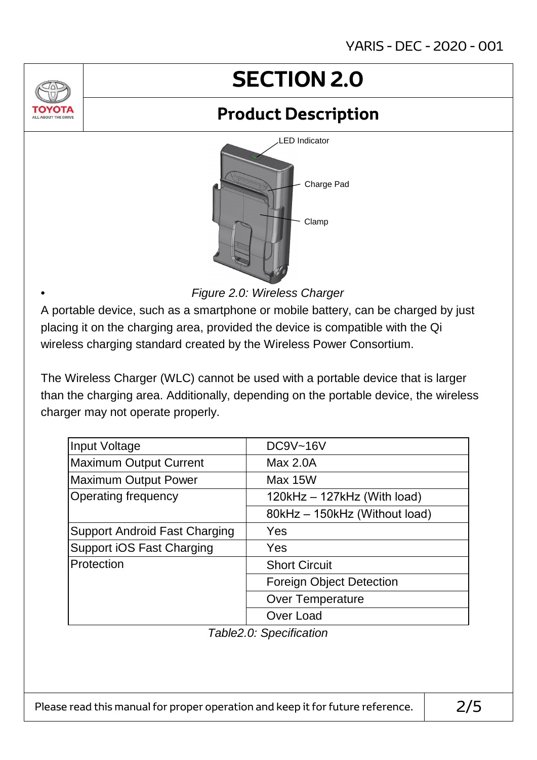### **SECTION 2.0**

### **Product Description**



*Figure 2.0: Wireless Charger*

A portable device, such as a smartphone or mobile battery, can be charged by just placing it on the charging area, provided the device is compatible with the Qi wireless charging standard created by the Wireless Power Consortium.

•

The Wireless Charger (WLC) cannot be used with a portable device that is larger than the charging area. Additionally, depending on the portable device, the wireless charger may not operate properly.

| Input Voltage                        | <b>DC9V~16V</b>                 |  |  |
|--------------------------------------|---------------------------------|--|--|
| <b>Maximum Output Current</b>        | Max 2.0A                        |  |  |
| <b>Maximum Output Power</b>          | Max 15W                         |  |  |
| <b>Operating frequency</b>           | $120kHz - 127kHz$ (With load)   |  |  |
|                                      | 80kHz - 150kHz (Without load)   |  |  |
| <b>Support Android Fast Charging</b> | Yes                             |  |  |
| <b>Support iOS Fast Charging</b>     | Yes                             |  |  |
| Protection                           | <b>Short Circuit</b>            |  |  |
|                                      | <b>Foreign Object Detection</b> |  |  |
|                                      | <b>Over Temperature</b>         |  |  |
|                                      | Over Load                       |  |  |

*Table2.0: Specification*

Please read this manual for proper operation and keep it for future reference.  $\vert$  2/5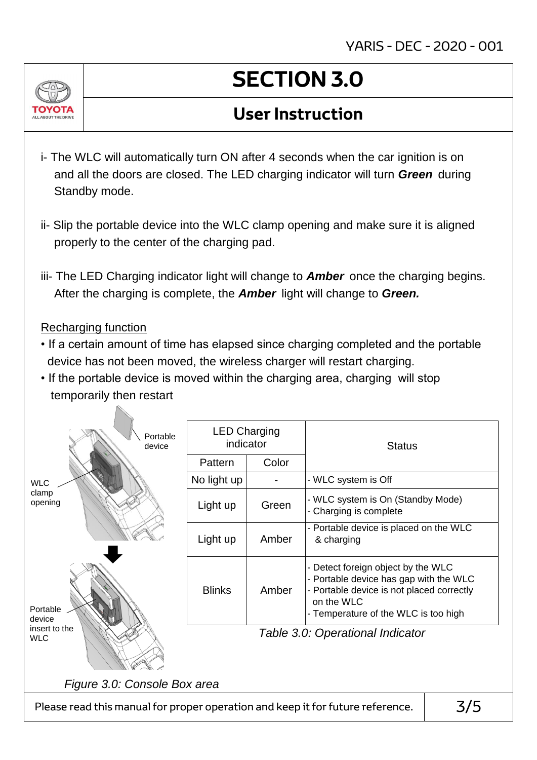

# **SECTION 3.0**

#### **User Instruction**

- i- The WLC will automatically turn ON after 4 seconds when the car ignition is on and all the doors are closed. The LED charging indicator will turn *Green* during Standby mode.
- ii- Slip the portable device into the WLC clamp opening and make sure it is aligned properly to the center of the charging pad.
- iii- The LED Charging indicator light will change to *Amber* once the charging begins. After the charging is complete, the *Amber* light will change to *Green.*

#### Recharging function

- If a certain amount of time has elapsed since charging completed and the portable device has not been moved, the wireless charger will restart charging.
- If the portable device is moved within the charging area, charging will stop temporarily then restart

| Portable<br>device                                                                    | <b>LED Charging</b><br>indicator |       | <b>Status</b>                                                                                                                                                                 |  |  |  |
|---------------------------------------------------------------------------------------|----------------------------------|-------|-------------------------------------------------------------------------------------------------------------------------------------------------------------------------------|--|--|--|
|                                                                                       | Pattern                          | Color |                                                                                                                                                                               |  |  |  |
| <b>WLC</b>                                                                            | No light up                      |       | - WLC system is Off                                                                                                                                                           |  |  |  |
| clamp<br>opening                                                                      | Light up                         | Green | - WLC system is On (Standby Mode)<br>- Charging is complete                                                                                                                   |  |  |  |
|                                                                                       | Light up                         | Amber | - Portable device is placed on the WLC<br>& charging                                                                                                                          |  |  |  |
| Portable<br>device                                                                    | <b>Blinks</b>                    | Amber | Detect foreign object by the WLC<br>- Portable device has gap with the WLC<br>- Portable device is not placed correctly<br>on the WLC<br>- Temperature of the WLC is too high |  |  |  |
| insert to the<br><b>WLC</b>                                                           | Table 3.0: Operational Indicator |       |                                                                                                                                                                               |  |  |  |
| Figure 3.0: Console Box area                                                          |                                  |       |                                                                                                                                                                               |  |  |  |
| 3/5<br>Please read this manual for proper operation and keep it for future reference. |                                  |       |                                                                                                                                                                               |  |  |  |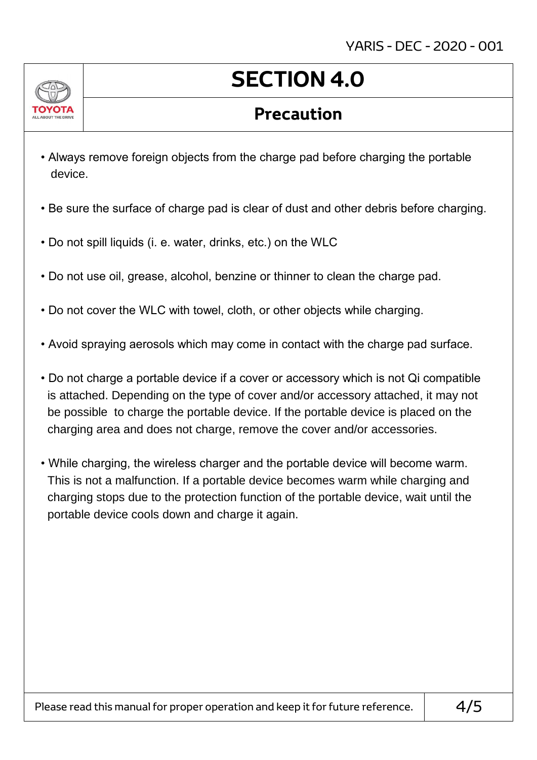

## **SECTION 4.0**

#### **Precaution**

- Always remove foreign objects from the charge pad before charging the portable device.
- Be sure the surface of charge pad is clear of dust and other debris before charging.
- Do not spill liquids (i. e. water, drinks, etc.) on the WLC
- Do not use oil, grease, alcohol, benzine or thinner to clean the charge pad.
- Do not cover the WLC with towel, cloth, or other objects while charging.
- Avoid spraying aerosols which may come in contact with the charge pad surface.
- Do not charge a portable device if a cover or accessory which is not Qi compatible is attached. Depending on the type of cover and/or accessory attached, it may not be possible to charge the portable device. If the portable device is placed on the charging area and does not charge, remove the cover and/or accessories.
- While charging, the wireless charger and the portable device will become warm. This is not a malfunction. If a portable device becomes warm while charging and charging stops due to the protection function of the portable device, wait until the portable device cools down and charge it again.